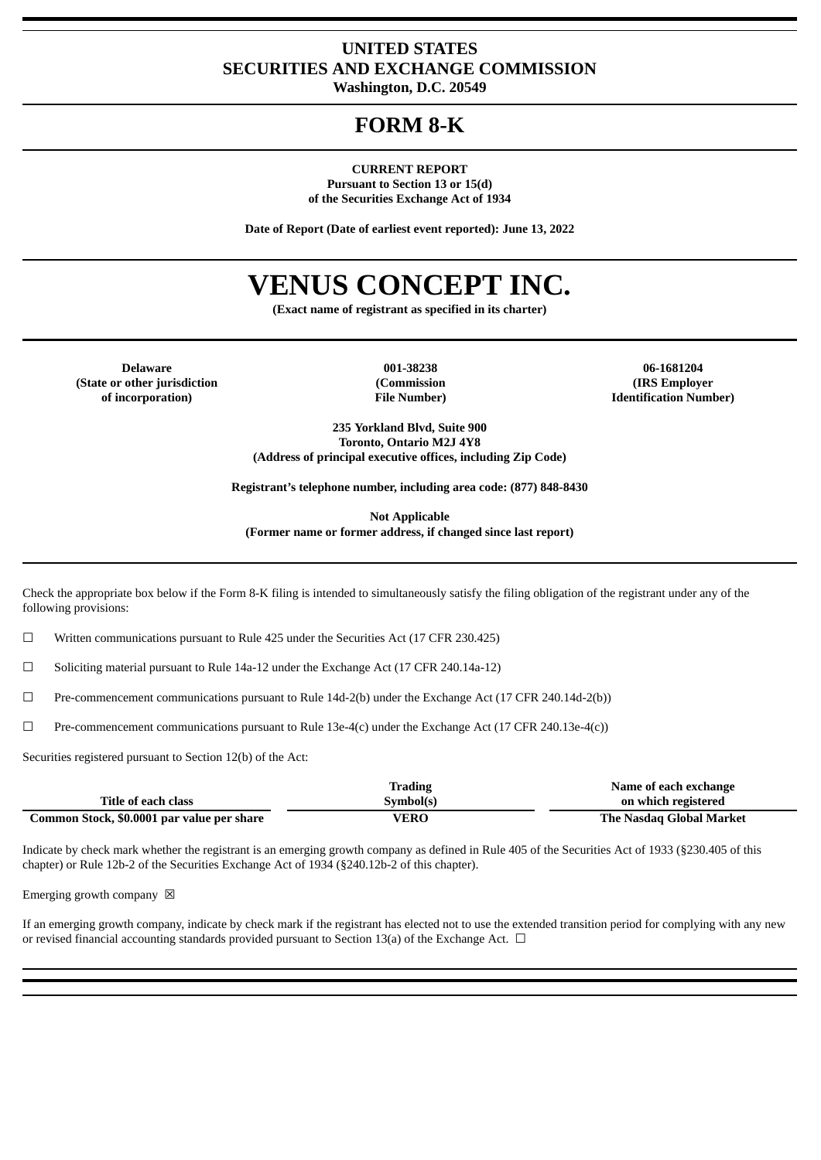## **UNITED STATES SECURITIES AND EXCHANGE COMMISSION**

**Washington, D.C. 20549**

# **FORM 8-K**

**CURRENT REPORT**

**Pursuant to Section 13 or 15(d) of the Securities Exchange Act of 1934**

**Date of Report (Date of earliest event reported): June 13, 2022**

# **VENUS CONCEPT INC.**

**(Exact name of registrant as specified in its charter)**

**(State or other jurisdiction of incorporation)**

**(Commission File Number)**

**Delaware 001-38238 06-1681204 (IRS Employer Identification Number)**

> **235 Yorkland Blvd, Suite 900 Toronto, Ontario M2J 4Y8 (Address of principal executive offices, including Zip Code)**

**Registrant's telephone number, including area code: (877) 848-8430**

**Not Applicable (Former name or former address, if changed since last report)**

Check the appropriate box below if the Form 8-K filing is intended to simultaneously satisfy the filing obligation of the registrant under any of the following provisions:

☐ Written communications pursuant to Rule 425 under the Securities Act (17 CFR 230.425)

☐ Soliciting material pursuant to Rule 14a-12 under the Exchange Act (17 CFR 240.14a-12)

☐ Pre-commencement communications pursuant to Rule 14d-2(b) under the Exchange Act (17 CFR 240.14d-2(b))

 $□$  Pre-commencement communications pursuant to Rule 13e-4(c) under the Exchange Act (17 CFR 240.13e-4(c))

Securities registered pursuant to Section 12(b) of the Act:

|                                            | <b>Trading</b> | Name of each exchange    |
|--------------------------------------------|----------------|--------------------------|
| Title of each class                        | Symbol(s)      | on which registered      |
| Common Stock, \$0.0001 par value per share | VERO           | The Nasdag Global Market |

Indicate by check mark whether the registrant is an emerging growth company as defined in Rule 405 of the Securities Act of 1933 (§230.405 of this chapter) or Rule 12b-2 of the Securities Exchange Act of 1934 (§240.12b-2 of this chapter).

Emerging growth company  $\boxtimes$ 

If an emerging growth company, indicate by check mark if the registrant has elected not to use the extended transition period for complying with any new or revised financial accounting standards provided pursuant to Section 13(a) of the Exchange Act.  $\Box$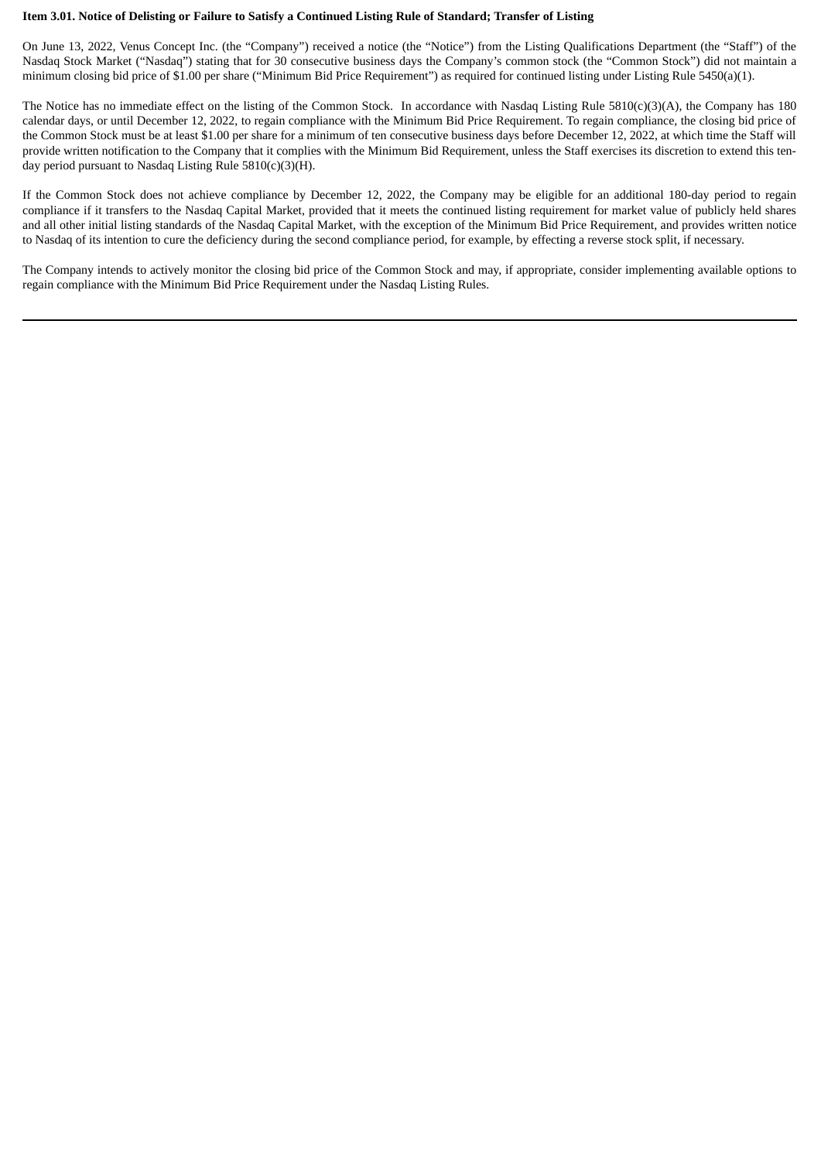#### Item 3.01. Notice of Delisting or Failure to Satisfy a Continued Listing Rule of Standard; Transfer of Listing

On June 13, 2022, Venus Concept Inc. (the "Company") received a notice (the "Notice") from the Listing Qualifications Department (the "Staff") of the Nasdaq Stock Market ("Nasdaq") stating that for 30 consecutive business days the Company's common stock (the "Common Stock") did not maintain a minimum closing bid price of \$1.00 per share ("Minimum Bid Price Requirement") as required for continued listing under Listing Rule 5450(a)(1).

The Notice has no immediate effect on the listing of the Common Stock. In accordance with Nasdaq Listing Rule 5810(c)(3)(A), the Company has 180 calendar days, or until December 12, 2022, to regain compliance with the Minimum Bid Price Requirement. To regain compliance, the closing bid price of the Common Stock must be at least \$1.00 per share for a minimum of ten consecutive business days before December 12, 2022, at which time the Staff will provide written notification to the Company that it complies with the Minimum Bid Requirement, unless the Staff exercises its discretion to extend this tenday period pursuant to Nasdaq Listing Rule 5810(c)(3)(H).

If the Common Stock does not achieve compliance by December 12, 2022, the Company may be eligible for an additional 180-day period to regain compliance if it transfers to the Nasdaq Capital Market, provided that it meets the continued listing requirement for market value of publicly held shares and all other initial listing standards of the Nasdaq Capital Market, with the exception of the Minimum Bid Price Requirement, and provides written notice to Nasdaq of its intention to cure the deficiency during the second compliance period, for example, by effecting a reverse stock split, if necessary.

The Company intends to actively monitor the closing bid price of the Common Stock and may, if appropriate, consider implementing available options to regain compliance with the Minimum Bid Price Requirement under the Nasdaq Listing Rules.